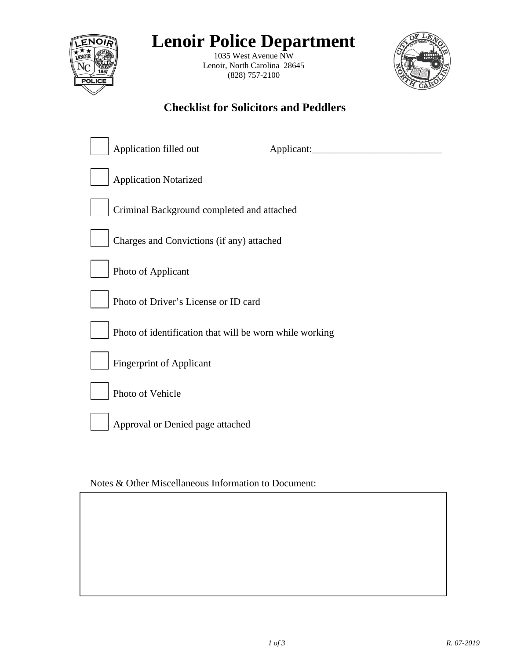

# **Lenoir Police Department**

1035 West Avenue NW Lenoir, North Carolina 28645 (828) 757-2100



## **Checklist for Solicitors and Peddlers**

| Application filled out                                  | Applicant: |
|---------------------------------------------------------|------------|
| <b>Application Notarized</b>                            |            |
| Criminal Background completed and attached              |            |
| Charges and Convictions (if any) attached               |            |
| Photo of Applicant                                      |            |
| Photo of Driver's License or ID card                    |            |
| Photo of identification that will be worn while working |            |
| <b>Fingerprint of Applicant</b>                         |            |
| Photo of Vehicle                                        |            |
| Approval or Denied page attached                        |            |

Notes & Other Miscellaneous Information to Document: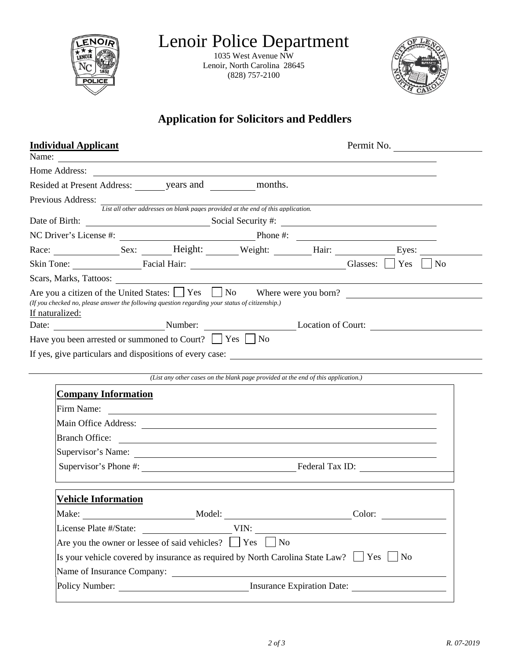| ENOIR    |  |
|----------|--|
|          |  |
|          |  |
|          |  |
|          |  |
| CЕ<br>Lŀ |  |
|          |  |
|          |  |

Lenoir Police Department

1035 West Avenue NW Lenoir, North Carolina 28645 (828) 757-2100



## **Application for Solicitors and Peddlers**

| <b>Individual Applicant</b> |                                                                                                 |                                                                                   | Permit No.                                                                                         |                |
|-----------------------------|-------------------------------------------------------------------------------------------------|-----------------------------------------------------------------------------------|----------------------------------------------------------------------------------------------------|----------------|
|                             |                                                                                                 |                                                                                   |                                                                                                    |                |
| Home Address:               |                                                                                                 |                                                                                   |                                                                                                    |                |
|                             | Resided at Present Address: years and years and months.                                         |                                                                                   |                                                                                                    |                |
| Previous Address:           | List all other addresses on blank pages provided at the end of this application.                |                                                                                   |                                                                                                    |                |
|                             |                                                                                                 |                                                                                   | Date of Birth: Social Security #:                                                                  |                |
|                             |                                                                                                 |                                                                                   |                                                                                                    |                |
|                             |                                                                                                 |                                                                                   | Race: Sex: Sex: Height: Weight: Hair: Hair: Eyes:                                                  |                |
|                             |                                                                                                 |                                                                                   | Skin Tone: Facial Hair: Glasses: Skin Tone: Facial Hair: Glasses: Skin Tone:                       | N <sub>o</sub> |
|                             |                                                                                                 |                                                                                   |                                                                                                    |                |
| If naturalized:             | (If you checked no, please answer the following question regarding your status of citizenship.) |                                                                                   | Are you a citizen of the United States: $\Box$ Yes $\Box$ No Where were you born?                  |                |
|                             |                                                                                                 |                                                                                   | Date: Number: Number: Location of Court:                                                           |                |
|                             | Have you been arrested or summoned to Court? $\Box$ Yes $\Box$ No                               |                                                                                   |                                                                                                    |                |
|                             |                                                                                                 |                                                                                   |                                                                                                    |                |
|                             |                                                                                                 |                                                                                   | If yes, give particulars and dispositions of every case:                                           |                |
|                             |                                                                                                 |                                                                                   |                                                                                                    |                |
|                             |                                                                                                 | (List any other cases on the blank page provided at the end of this application.) |                                                                                                    |                |
| <b>Company Information</b>  |                                                                                                 |                                                                                   |                                                                                                    |                |
|                             |                                                                                                 |                                                                                   |                                                                                                    |                |
|                             |                                                                                                 |                                                                                   |                                                                                                    |                |
| <b>Branch Office:</b>       |                                                                                                 |                                                                                   |                                                                                                    |                |
|                             |                                                                                                 |                                                                                   | <u> 1989 - Johann Barnett, fransk politiker (d. 1989)</u>                                          |                |
|                             |                                                                                                 |                                                                                   |                                                                                                    |                |
| <b>Vehicle Information</b>  |                                                                                                 |                                                                                   |                                                                                                    |                |
| Make:                       | Model:                                                                                          |                                                                                   | Color:                                                                                             |                |
| License Plate #/State:      |                                                                                                 | VIN:                                                                              |                                                                                                    |                |
|                             | Are you the owner or lessee of said vehicles? $\Box$ Yes                                        | $\vert$ No                                                                        |                                                                                                    |                |
|                             |                                                                                                 |                                                                                   | Is your vehicle covered by insurance as required by North Carolina State Law? $\Box$ Yes $\Box$ No |                |
|                             | Name of Insurance Company:                                                                      |                                                                                   |                                                                                                    |                |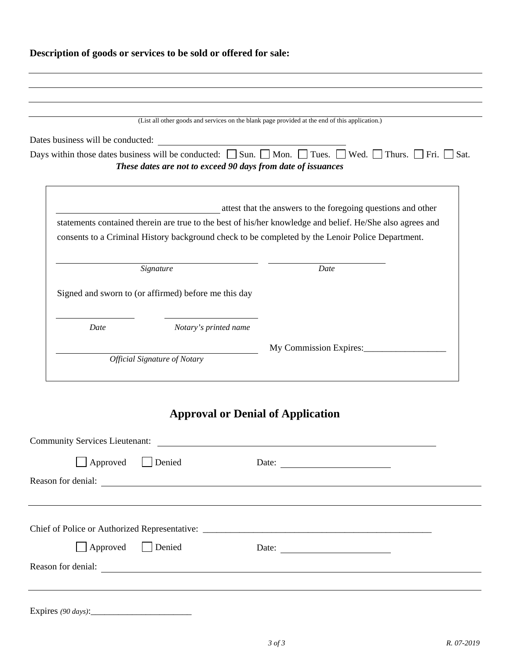## **Description of goods or services to be sold or offered for sale:**

|                                                      |                                                              | (List all other goods and services on the blank page provided at the end of this application.)                                             |
|------------------------------------------------------|--------------------------------------------------------------|--------------------------------------------------------------------------------------------------------------------------------------------|
| Dates business will be conducted:                    |                                                              |                                                                                                                                            |
|                                                      |                                                              | Days within those dates business will be conducted: $\Box$ Sun. $\Box$ Mon. $\Box$ Tues. $\Box$ Wed. $\Box$ Thurs. $\Box$ Fri. $\Box$ Sat. |
|                                                      | These dates are not to exceed 90 days from date of issuances |                                                                                                                                            |
|                                                      |                                                              |                                                                                                                                            |
|                                                      |                                                              | attest that the answers to the foregoing questions and other                                                                               |
|                                                      |                                                              | statements contained therein are true to the best of his/her knowledge and belief. He/She also agrees and                                  |
|                                                      |                                                              | consents to a Criminal History background check to be completed by the Lenoir Police Department.                                           |
|                                                      |                                                              |                                                                                                                                            |
|                                                      |                                                              |                                                                                                                                            |
|                                                      | Signature                                                    | Date                                                                                                                                       |
|                                                      |                                                              |                                                                                                                                            |
|                                                      |                                                              |                                                                                                                                            |
| Signed and sworn to (or affirmed) before me this day |                                                              |                                                                                                                                            |
|                                                      |                                                              |                                                                                                                                            |
| Date                                                 | Notary's printed name                                        |                                                                                                                                            |
|                                                      | <b>Official Signature of Notary</b>                          | My Commission Expires:                                                                                                                     |

| <b>Community Services Lieutenant:</b> |        |                                                          |  |  |  |  |
|---------------------------------------|--------|----------------------------------------------------------|--|--|--|--|
| Approved                              | Denied | Date: $\qquad \qquad$                                    |  |  |  |  |
| Reason for denial:                    |        |                                                          |  |  |  |  |
|                                       |        |                                                          |  |  |  |  |
|                                       |        |                                                          |  |  |  |  |
|                                       |        |                                                          |  |  |  |  |
| Approved                              | Denied | Date: $\frac{1}{\sqrt{1-\frac{1}{2}} \cdot \frac{1}{2}}$ |  |  |  |  |
| Reason for denial:                    |        |                                                          |  |  |  |  |
|                                       |        |                                                          |  |  |  |  |
|                                       |        |                                                          |  |  |  |  |
|                                       |        |                                                          |  |  |  |  |